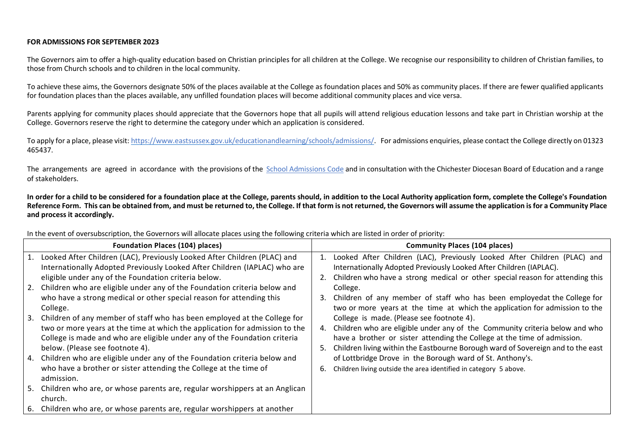## **FOR ADMISSIONS FOR SEPTEMBER 2023**

The Governors aim to offer a high-quality education based on Christian principles for all children at the College. We recognise our responsibility to children of Christian families, to those from Church schools and to children in the local community.

To achieve these aims, the Governors designate 50% of the places available at the College as foundation places and 50% as community places. If there are fewer qualified applicants for foundation places than the places available, any unfilled foundation places will become additional community places and vice versa.

Parents applying for community places should appreciate that the Governors hope that all pupils will attend religious education lessons and take part in Christian worship at the College. Governors reserve the right to determine the category under which an application is considered.

To apply for a place, please visit: [https://www.eastsussex.gov.uk/educationandlearning/schools/admissions/.](https://www.eastsussex.gov.uk/educationandlearning/schools/admissions/) For admissions enquiries, please contact the College directly on 01323 465437.

The arrangements are agreed in accordance with the provisions of the [School Admissions Code](https://assets.publishing.service.gov.uk/government/uploads/system/uploads/attachment_data/file/985454/schools_admission_code_from_1_september_2021.pdf) and in consultation with the Chichester Diocesan Board of Education and a range of stakeholders.

**In order for a child to be considered for a foundation place at the College, parents should, in addition to the Local Authority application form, complete the College's Foundation Reference Form. This can be obtained from, and must be returned to, the College. If that form is not returned, the Governors will assume the application is for a Community Place and process it accordingly.** 

| <b>Foundation Places (104) places)</b>                                                                                                                   |    | <b>Community Places (104 places)</b>                                                                                                           |
|----------------------------------------------------------------------------------------------------------------------------------------------------------|----|------------------------------------------------------------------------------------------------------------------------------------------------|
| 1. Looked After Children (LAC), Previously Looked After Children (PLAC) and<br>Internationally Adopted Previously Looked After Children (IAPLAC) who are | 1. | Looked After Children (LAC), Previously Looked After Children (PLAC) and<br>Internationally Adopted Previously Looked After Children (IAPLAC). |
| eligible under any of the Foundation criteria below.                                                                                                     |    | Children who have a strong medical or other special reason for attending this                                                                  |
| 2. Children who are eligible under any of the Foundation criteria below and                                                                              |    | College.                                                                                                                                       |
| who have a strong medical or other special reason for attending this                                                                                     | 3. | Children of any member of staff who has been employedat the College for                                                                        |
| College.                                                                                                                                                 |    | two or more years at the time at which the application for admission to the                                                                    |
| 3. Children of any member of staff who has been employed at the College for                                                                              |    | College is made. (Please see footnote 4).                                                                                                      |
| two or more years at the time at which the application for admission to the                                                                              | 4. | Children who are eligible under any of the Community criteria below and who                                                                    |
| College is made and who are eligible under any of the Foundation criteria                                                                                |    | have a brother or sister attending the College at the time of admission.                                                                       |
| below. (Please see footnote 4).                                                                                                                          | 5. | Children living within the Eastbourne Borough ward of Sovereign and to the east                                                                |
| 4. Children who are eligible under any of the Foundation criteria below and                                                                              |    | of Lottbridge Drove in the Borough ward of St. Anthony's.                                                                                      |
| who have a brother or sister attending the College at the time of<br>admission.                                                                          | 6. | Children living outside the area identified in category 5 above.                                                                               |
| 5. Children who are, or whose parents are, regular worshippers at an Anglican<br>church.                                                                 |    |                                                                                                                                                |
| 6. Children who are, or whose parents are, regular worshippers at another                                                                                |    |                                                                                                                                                |

In the event of oversubscription, the Governors will allocate places using the following criteria which are listed in order of priority: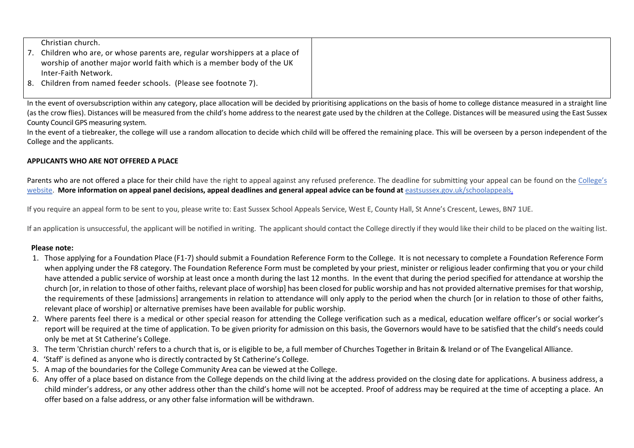| Christian church.                                                            |  |
|------------------------------------------------------------------------------|--|
| 7. Children who are, or whose parents are, regular worshippers at a place of |  |
| worship of another major world faith which is a member body of the UK        |  |
| Inter-Faith Network.                                                         |  |
| 8. Children from named feeder schools. (Please see footnote 7).              |  |
|                                                                              |  |

In the event of oversubscription within any category, place allocation will be decided by prioritising applications on the basis of home to college distance measured in a straight line (as the crow flies). Distances will be measured from the child's home address to the nearest gate used by the children at the College. Distances will be measured using the East Sussex County Council GPS measuring system.

In the event of a tiebreaker, the college will use a random allocation to decide which child will be offered the remaining place. This will be overseen by a person independent of the College and the applicants.

## **APPLICANTS WHO ARE NOT OFFERED A PLACE**

Parents who are not offered a place for their child have the right to appeal against any refused preference. The deadline for submitting your appeal can be found on the [College's](https://www.stcatherines.college/page/?title=Admissions&pid=32) [website.](https://www.stcatherines.college/page/?title=Admissions&pid=32) More information on appeal panel decisions, appeal deadlines and general appeal advice can be found at [eastsussex.gov.uk/schoolappeals.](https://www.eastsussex.gov.uk/educationandlearning/schools/admissions/completed/detailed-guidance-school-admission-appeals/school-admission-appeals-guide/)

If you require an appeal form to be sent to you, please write to: East Sussex School Appeals Service, West E, County Hall, St Anne's Crescent, Lewes, BN7 1UE.

If an application is unsuccessful, the applicant will be notified in writing. The applicant should contact the College directly if they would like their child to be placed on the waiting list.

## **Please note:**

- 1. Those applying for a Foundation Place (F1-7) should submit a Foundation Reference Form to the College. It is not necessary to complete a Foundation Reference Form when applying under the F8 category. The Foundation Reference Form must be completed by your priest, minister or religious leader confirming that you or your child have attended a public service of worship at least once a month during the last 12 months. In the event that during the period specified for attendance at worship the church [or, in relation to those of other faiths, relevant place of worship] has been closed for public worship and has not provided alternative premises for that worship, the requirements of these [admissions] arrangements in relation to attendance will only apply to the period when the church [or in relation to those of other faiths, relevant place of worship] or alternative premises have been available for public worship.
- 2. Where parents feel there is a medical or other special reason for attending the College verification such as a medical, education welfare officer's or social worker's report will be required at the time of application. To be given priority for admission on this basis, the Governors would have to be satisfied that the child's needs could only be met at St Catherine's College.
- 3. The term 'Christian church' refers to a church that is, or is eligible to be, a full member of Churches Together in Britain & Ireland or of The Evangelical Alliance.
- 4. 'Staff' is defined as anyone who is directly contracted by St Catherine's College.
- 5. A map of the boundaries for the College Community Area can be viewed at the College.
- 6. Any offer of a place based on distance from the College depends on the child living at the address provided on the closing date for applications. A business address, a child minder's address, or any other address other than the child's home will not be accepted. Proof of address may be required at the time of accepting a place. An offer based on a false address, or any other false information will be withdrawn.